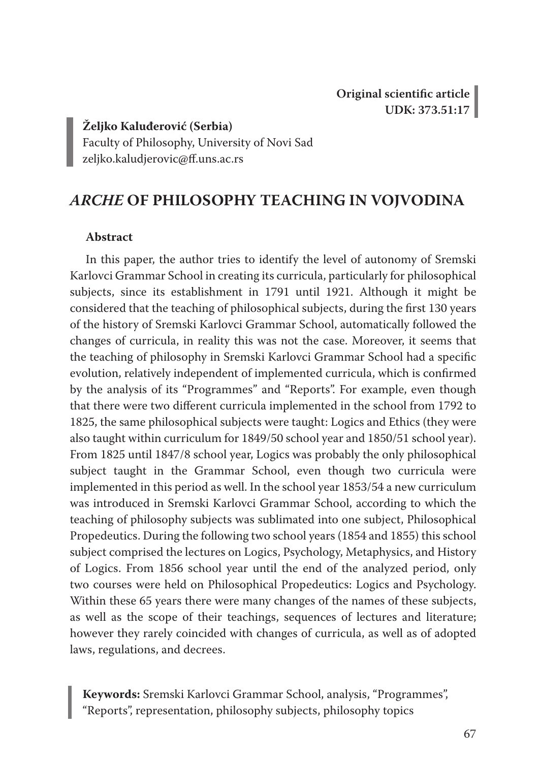**Željko Kaluđerović (Serbia)**

Faculty of Philosophy, University of Novi Sad zeljko.kaludjerovic@ff.uns.ac.rs

# *ARCHE* **OF PHILOSOPHY TEACHING IN VOJVODINA**

### **Abstract**

In this paper, the author tries to identify the level of autonomy of Sremski Karlovci Grammar School in creating its curricula, particularly for philosophical subjects, since its establishment in 1791 until 1921. Although it might be considered that the teaching of philosophical subjects, during the first 130 years of the history of Sremski Karlovci Grammar School, automatically followed the changes of curricula, in reality this was not the case. Moreover, it seems that the teaching of philosophy in Sremski Karlovci Grammar School had a specific evolution, relatively independent of implemented curricula, which is confirmed by the analysis of its "Programmes" and "Reports". For example, even though that there were two different curricula implemented in the school from 1792 to 1825, the same philosophical subjects were taught: Logics and Ethics (they were also taught within curriculum for 1849/50 school year and 1850/51 school year). From 1825 until 1847/8 school year, Logics was probably the only philosophical subject taught in the Grammar School, even though two curricula were implemented in this period as well. In the school year 1853/54 a new curriculum was introduced in Sremski Karlovci Grammar School, according to which the teaching of philosophy subjects was sublimated into one subject, Philosophical Propedeutics. During the following two school years (1854 and 1855) this school subject comprised the lectures on Logics, Psychology, Metaphysics, and History of Logics. From 1856 school year until the end of the analyzed period, only two courses were held on Philosophical Propedeutics: Logics and Psychology. Within these 65 years there were many changes of the names of these subjects, as well as the scope of their teachings, sequences of lectures and literature; however they rarely coincided with changes of curricula, as well as of adopted laws, regulations, and decrees.

**Keywords:** Sremski Karlovci Grammar School, analysis, "Programmes", "Reports", representation, philosophy subjects, philosophy topics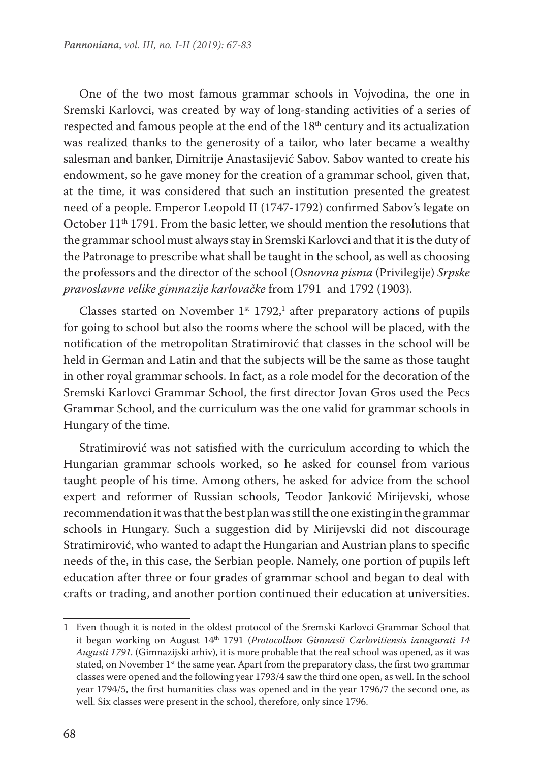One of the two most famous grammar schools in Vojvodina, the one in Sremski Karlovci, was created by way of long-standing activities of a series of respected and famous people at the end of the 18th century and its actualization was realized thanks to the generosity of a tailor, who later became a wealthy salesman and banker, Dimitrije Anastasijević Sabov. Sabov wanted to create his endowment, so he gave money for the creation of a grammar school, given that, at the time, it was considered that such an institution presented the greatest need of a people. Emperor Leopold II (1747-1792) confirmed Sabov's legate on October 11<sup>th</sup> 1791. From the basic letter, we should mention the resolutions that the grammar school must always stay in Sremski Karlovci and that it is the duty of the Patronage to prescribe what shall be taught in the school, as well as choosing the professors and the director of the school (*Osnovna pisma* (Privilegije) *Srpske pravoslavne velike gimnazije karlovačke* from 1791 and 1792 (1903).

Classes started on November  $1^{st}$  1792,<sup>1</sup> after preparatory actions of pupils for going to school but also the rooms where the school will be placed, with the notification of the metropolitan Stratimirović that classes in the school will be held in German and Latin and that the subjects will be the same as those taught in other royal grammar schools. In fact, as a role model for the decoration of the Sremski Karlovci Grammar School, the first director Jovan Gros used the Pecs Grammar School, and the curriculum was the one valid for grammar schools in Hungary of the time.

Stratimirović was not satisfied with the curriculum according to which the Hungarian grammar schools worked, so he asked for counsel from various taught people of his time. Among others, he asked for advice from the school expert and reformer of Russian schools, Teodor Janković Mirijevski, whose recommendation it was that the best plan was still the one existing in the grammar schools in Hungary. Such a suggestion did by Mirijevski did not discourage Stratimirović, who wanted to adapt the Hungarian and Austrian plans to specific needs of the, in this case, the Serbian people. Namely, one portion of pupils left education after three or four grades of grammar school and began to deal with crafts or trading, and another portion continued their education at universities.

<sup>1</sup> Even though it is noted in the oldest protocol of the Sremski Karlovci Grammar School that it began working on August 14th 1791 (*Protocollum Gimnasii Carlovitiensis ianugurati 14 Augusti 1791.* (Gimnazijski arhiv), it is more probable that the real school was opened, as it was stated, on November 1<sup>st</sup> the same year. Apart from the preparatory class, the first two grammar classes were opened and the following year 1793/4 saw the third one open, as well. In the school year 1794/5, the first humanities class was opened and in the year 1796/7 the second one, as well. Six classes were present in the school, therefore, only since 1796.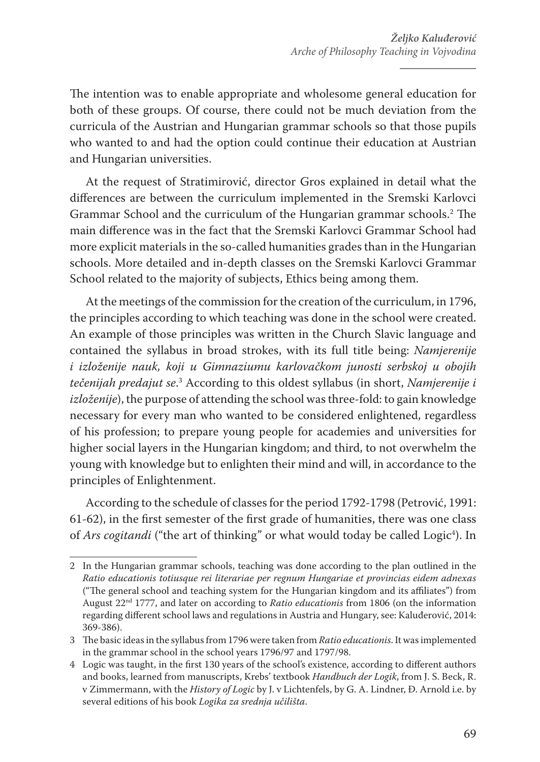The intention was to enable appropriate and wholesome general education for both of these groups. Of course, there could not be much deviation from the curricula of the Austrian and Hungarian grammar schools so that those pupils who wanted to and had the option could continue their education at Austrian and Hungarian universities.

At the request of Stratimirović, director Gros explained in detail what the differences are between the curriculum implemented in the Sremski Karlovci Grammar School and the curriculum of the Hungarian grammar schools.2 The main difference was in the fact that the Sremski Karlovci Grammar School had more explicit materials in the so-called humanities grades than in the Hungarian schools. More detailed and in-depth classes on the Sremski Karlovci Grammar School related to the majority of subjects, Ethics being among them.

At the meetings of the commission for the creation of the curriculum, in 1796, the principles according to which teaching was done in the school were created. An example of those principles was written in the Church Slavic language and contained the syllabus in broad strokes, with its full title being: *Namjerenije i izloženije nauk, koji u Gimnaziumu karlovačkom junosti serbskoj u obojih tečenijah predajut se*. 3 According to this oldest syllabus (in short, *Namjerenije i izloženije*), the purpose of attending the school was three-fold: to gain knowledge necessary for every man who wanted to be considered enlightened, regardless of his profession; to prepare young people for academies and universities for higher social layers in the Hungarian kingdom; and third, to not overwhelm the young with knowledge but to enlighten their mind and will, in accordance to the principles of Enlightenment.

According to the schedule of classes for the period 1792-1798 (Petrović, 1991: 61-62), in the first semester of the first grade of humanities, there was one class of *Ars cogitandi* ("the art of thinking" or what would today be called Logic<sup>4</sup>). In

<sup>2</sup> In the Hungarian grammar schools, teaching was done according to the plan outlined in the *Ratio educationis totiusque rei literariae per regnum Hungariae et provincias eidem adnexas* ("The general school and teaching system for the Hungarian kingdom and its affiliates") from August 22nd 1777, and later on according to *Ratio educationis* from 1806 (on the information regarding different school laws and regulations in Austria and Hungary, see: Kaluđerović, 2014: 369-386).

<sup>3</sup> The basic ideas in the syllabus from 1796 were taken from *Ratio educationis*. It was implemented in the grammar school in the school years 1796/97 and 1797/98.

<sup>4</sup> Logic was taught, in the first 130 years of the school's existence, according to different authors and books, learned from manuscripts, Krebs' textbook *Handbuch der Logik*, from J. S. Beck, R. v Zimmermann, with the *History of Logic* by J. v Lichtenfels, by G. A. Lindner, Đ. Arnold i.e. by several editions of his book *Logika za srednja učilišta*.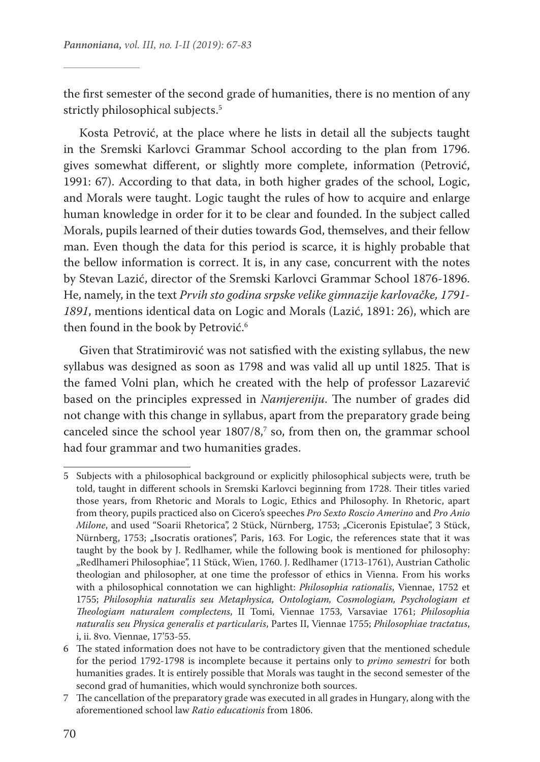the first semester of the second grade of humanities, there is no mention of any strictly philosophical subjects.<sup>5</sup>

Kosta Petrović, at the place where he lists in detail all the subjects taught in the Sremski Karlovci Grammar School according to the plan from 1796. gives somewhat different, or slightly more complete, information (Petrović, 1991: 67). According to that data, in both higher grades of the school, Logic, and Morals were taught. Logic taught the rules of how to acquire and enlarge human knowledge in order for it to be clear and founded. In the subject called Morals, pupils learned of their duties towards God, themselves, and their fellow man. Even though the data for this period is scarce, it is highly probable that the bellow information is correct. It is, in any case, concurrent with the notes by Stevan Lazić, director of the Sremski Karlovci Grammar School 1876-1896. He, namely, in the text *Prvih sto godina srpske velike gimnazije karlovačke, 1791- 1891*, mentions identical data on Logic and Morals (Lazić, 1891: 26), which are then found in the book by Petrović.<sup>6</sup>

Given that Stratimirović was not satisfied with the existing syllabus, the new syllabus was designed as soon as 1798 and was valid all up until 1825. That is the famed Volni plan, which he created with the help of professor Lazarević based on the principles expressed in *Namjereniju*. The number of grades did not change with this change in syllabus, apart from the preparatory grade being canceled since the school year  $1807/8$ , so, from then on, the grammar school had four grammar and two humanities grades.

<sup>5</sup> Subjects with a philosophical background or explicitly philosophical subjects were, truth be told, taught in different schools in Sremski Karlovci beginning from 1728. Their titles varied those years, from Rhetoric and Morals to Logic, Ethics and Philosophy. In Rhetoric, apart from theory, pupils practiced also on Cicero's speeches *Pro Sexto Roscio Amerino* and *Pro Anio Milone*, and used "Soarii Rhetorica", 2 Stück, Nürnberg, 1753; "Ciceronis Epistulae", 3 Stück, Nürnberg, 1753; "Isocratis orationes", Paris, 163. For Logic, the references state that it was taught by the book by J. Redlhamer, while the following book is mentioned for philosophy: "Redlhameri Philosophiae", 11 Stück, Wien, 1760. J. Redlhamer (1713-1761), Austrian Catholic theologian and philosopher, at one time the professor of ethics in Vienna. From his works with a philosophical connotation we can highlight: *Philosophia rationalis*, Viennae, 1752 et 1755; *Philosophia naturalis seu Metaphysica, Ontologiam, Cosmologiam, Psychologiam et Theologiam naturalem complectens*, II Tomi, Viennae 1753, Varsaviae 1761; *Philosophia naturalis seu Physica generalis et particularis*, Partes II, Viennae 1755; *Philosophiae tractatus*, i, ii. 8vo. Viennae, 17'53-55.

<sup>6</sup> The stated information does not have to be contradictory given that the mentioned schedule for the period 1792-1798 is incomplete because it pertains only to *primo semestri* for both humanities grades. It is entirely possible that Morals was taught in the second semester of the second grad of humanities, which would synchronize both sources.

<sup>7</sup> The cancellation of the preparatory grade was executed in all grades in Hungary, along with the aforementioned school law *Ratio educationis* from 1806.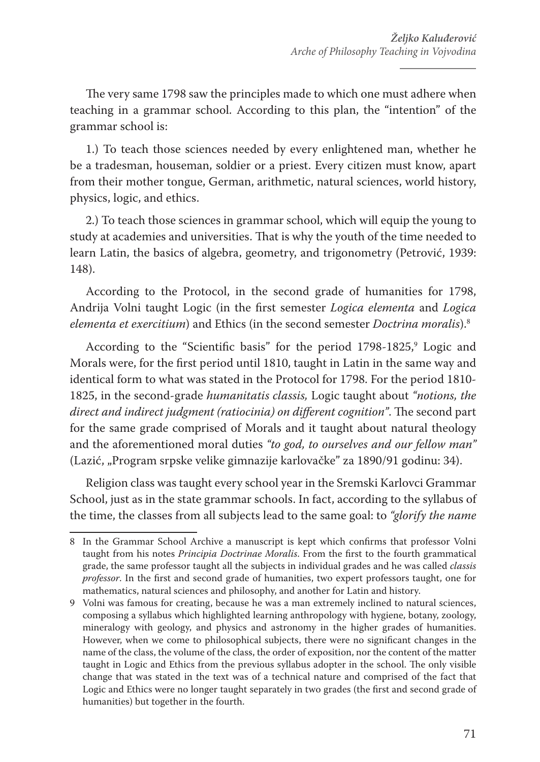The very same 1798 saw the principles made to which one must adhere when teaching in a grammar school. According to this plan, the "intention" of the grammar school is:

1.) To teach those sciences needed by every enlightened man, whether he be a tradesman, houseman, soldier or a priest. Every citizen must know, apart from their mother tongue, German, arithmetic, natural sciences, world history, physics, logic, and ethics.

2.) To teach those sciences in grammar school, which will equip the young to study at academies and universities. That is why the youth of the time needed to learn Latin, the basics of algebra, geometry, and trigonometry (Petrović, 1939: 148).

According to the Protocol, in the second grade of humanities for 1798, Andrija Volni taught Logic (in the first semester *Logica elementa* and *Logica elementa et exercitium*) and Ethics (in the second semester *Doctrina moralis*).8

According to the "Scientific basis" for the period 1798-1825,<sup>9</sup> Logic and Morals were, for the first period until 1810, taught in Latin in the same way and identical form to what was stated in the Protocol for 1798. For the period 1810- 1825, in the second-grade *humanitatis classis,* Logic taught about *"notions, the direct and indirect judgment (ratiocinia) on different cognition"*. The second part for the same grade comprised of Morals and it taught about natural theology and the aforementioned moral duties *"to god, to ourselves and our fellow man"* (Lazić, "Program srpske velike gimnazije karlovačke" za 1890/91 godinu: 34).

Religion class was taught every school year in the Sremski Karlovci Grammar School, just as in the state grammar schools. In fact, according to the syllabus of the time, the classes from all subjects lead to the same goal: to *"glorify the name* 

<sup>8</sup> In the Grammar School Archive a manuscript is kept which confirms that professor Volni taught from his notes *Principia Doctrinae Moralis*. From the first to the fourth grammatical grade, the same professor taught all the subjects in individual grades and he was called *classis professor*. In the first and second grade of humanities, two expert professors taught, one for mathematics, natural sciences and philosophy, and another for Latin and history.

<sup>9</sup> Volni was famous for creating, because he was a man extremely inclined to natural sciences, composing a syllabus which highlighted learning anthropology with hygiene, botany, zoology, mineralogy with geology, and physics and astronomy in the higher grades of humanities. However, when we come to philosophical subjects, there were no significant changes in the name of the class, the volume of the class, the order of exposition, nor the content of the matter taught in Logic and Ethics from the previous syllabus adopter in the school. The only visible change that was stated in the text was of a technical nature and comprised of the fact that Logic and Ethics were no longer taught separately in two grades (the first and second grade of humanities) but together in the fourth.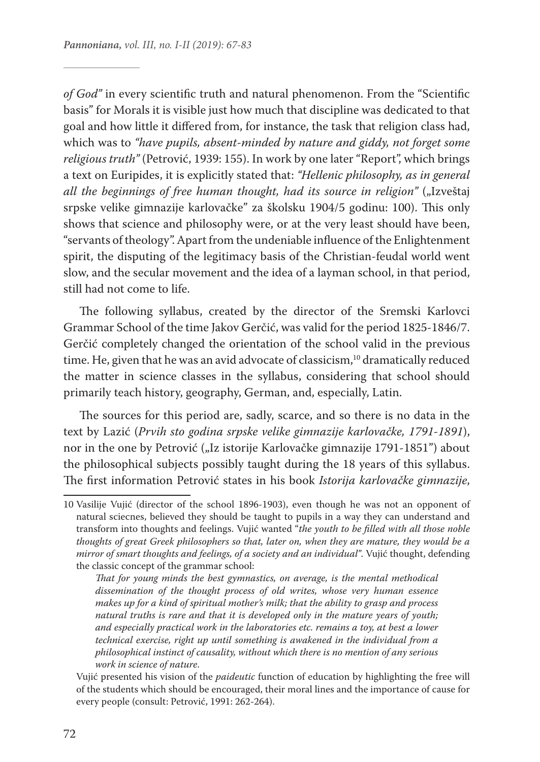*of God"* in every scientific truth and natural phenomenon. From the "Scientific basis" for Morals it is visible just how much that discipline was dedicated to that goal and how little it differed from, for instance, the task that religion class had, which was to *"have pupils, absent-minded by nature and giddy, not forget some religious truth"* (Petrović, 1939: 155). In work by one later "Report", which brings a text on Euripides, it is explicitly stated that: *"Hellenic philosophy, as in general all the beginnings of free human thought, had its source in religion"* ("Izveštaj srpske velike gimnazije karlovačke" za školsku 1904/5 godinu: 100). This only shows that science and philosophy were, or at the very least should have been, "servants of theology". Apart from the undeniable influence of the Enlightenment spirit, the disputing of the legitimacy basis of the Christian-feudal world went slow, and the secular movement and the idea of a layman school, in that period, still had not come to life.

The following syllabus, created by the director of the Sremski Karlovci Grammar School of the time Jakov Gerčić, was valid for the period 1825-1846/7. Gerčić completely changed the orientation of the school valid in the previous time. He, given that he was an avid advocate of classicism,<sup>10</sup> dramatically reduced the matter in science classes in the syllabus, considering that school should primarily teach history, geography, German, and, especially, Latin.

The sources for this period are, sadly, scarce, and so there is no data in the text by Lazić (*Prvih sto godina srpske velike gimnazije karlovačke, 1791-1891*), nor in the one by Petrović ("Iz istorije Karlovačke gimnazije 1791-1851") about the philosophical subjects possibly taught during the 18 years of this syllabus. The first information Petrović states in his book *Istorija karlovačke gimnazije*,

*That for young minds the best gymnastics, on average, is the mental methodical dissemination of the thought process of old writes, whose very human essence makes up for a kind of spiritual mother's milk; that the ability to grasp and process natural truths is rare and that it is developed only in the mature years of youth; and especially practical work in the laboratories etc. remains a toy, at best a lower technical exercise, right up until something is awakened in the individual from a philosophical instinct of causality, without which there is no mention of any serious work in science of nature*.

<sup>10</sup> Vasilije Vujić (director of the school 1896-1903), even though he was not an opponent of natural sciecnes, believed they should be taught to pupils in a way they can understand and transform into thoughts and feelings. Vujić wanted "*the youth to be filled with all those noble thoughts of great Greek philosophers so that, later on, when they are mature, they would be a mirror of smart thoughts and feelings, of a society and an individual"*. Vujić thought, defending the classic concept of the grammar school:

Vujić presented his vision of the *paideutic* function of education by highlighting the free will of the students which should be encouraged, their moral lines and the importance of cause for every people (consult: Petrović, 1991: 262-264).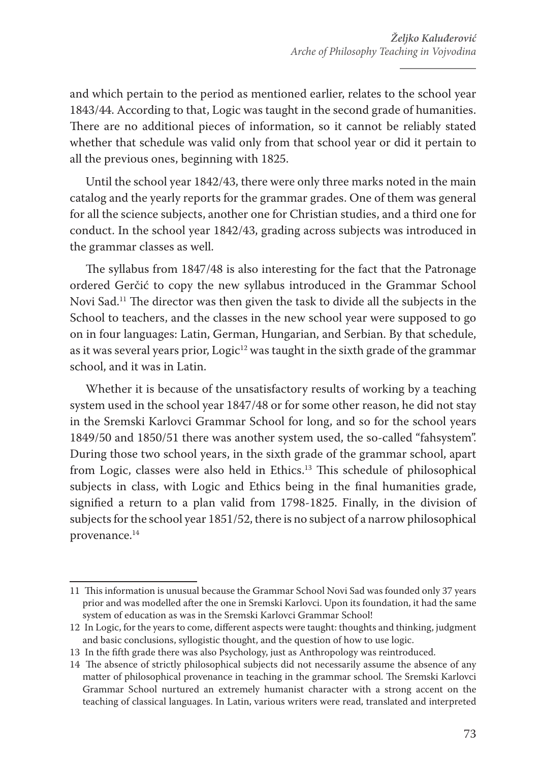and which pertain to the period as mentioned earlier, relates to the school year 1843/44. According to that, Logic was taught in the second grade of humanities. There are no additional pieces of information, so it cannot be reliably stated whether that schedule was valid only from that school year or did it pertain to all the previous ones, beginning with 1825.

Until the school year 1842/43, there were only three marks noted in the main catalog and the yearly reports for the grammar grades. One of them was general for all the science subjects, another one for Christian studies, and a third one for conduct. In the school year 1842/43, grading across subjects was introduced in the grammar classes as well.

The syllabus from 1847/48 is also interesting for the fact that the Patronage ordered Gerčić to copy the new syllabus introduced in the Grammar School Novi Sad.11 The director was then given the task to divide all the subjects in the School to teachers, and the classes in the new school year were supposed to go on in four languages: Latin, German, Hungarian, and Serbian. By that schedule, as it was several years prior,  $Logic<sup>12</sup>$  was taught in the sixth grade of the grammar school, and it was in Latin.

Whether it is because of the unsatisfactory results of working by a teaching system used in the school year 1847/48 or for some other reason, he did not stay in the Sremski Karlovci Grammar School for long, and so for the school years 1849/50 and 1850/51 there was another system used, the so-called "fahsystem". During those two school years, in the sixth grade of the grammar school, apart from Logic, classes were also held in Ethics.<sup>13</sup> This schedule of philosophical subjects in class, with Logic and Ethics being in the final humanities grade, signified a return to a plan valid from 1798-1825. Finally, in the division of subjects for the school year 1851/52, there is no subject of a narrow philosophical provenance.14

<sup>11</sup> This information is unusual because the Grammar School Novi Sad was founded only 37 years prior and was modelled after the one in Sremski Karlovci. Upon its foundation, it had the same system of education as was in the Sremski Karlovci Grammar School!

<sup>12</sup> In Logic, for the years to come, different aspects were taught: thoughts and thinking, judgment and basic conclusions, syllogistic thought, and the question of how to use logic.

<sup>13</sup> In the fifth grade there was also Psychology, just as Anthropology was reintroduced.

<sup>14</sup> The absence of strictly philosophical subjects did not necessarily assume the absence of any matter of philosophical provenance in teaching in the grammar school. The Sremski Karlovci Grammar School nurtured an extremely humanist character with a strong accent on the teaching of classical languages. In Latin, various writers were read, translated and interpreted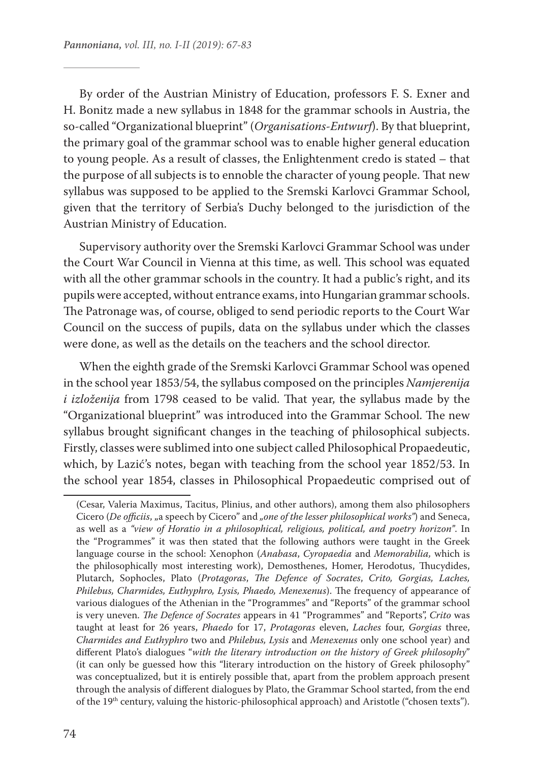By order of the Austrian Ministry of Education, professors F. S. Exner and H. Bonitz made a new syllabus in 1848 for the grammar schools in Austria, the so-called "Organizational blueprint" (*Organisations-Entwurf*). By that blueprint, the primary goal of the grammar school was to enable higher general education to young people. As a result of classes, the Enlightenment credo is stated – that the purpose of all subjects is to ennoble the character of young people. That new syllabus was supposed to be applied to the Sremski Karlovci Grammar School, given that the territory of Serbia's Duchy belonged to the jurisdiction of the Austrian Ministry of Education.

Supervisory authority over the Sremski Karlovci Grammar School was under the Court War Council in Vienna at this time, as well. This school was equated with all the other grammar schools in the country. It had a public's right, and its pupils were accepted, without entrance exams, into Hungarian grammar schools. The Patronage was, of course, obliged to send periodic reports to the Court War Council on the success of pupils, data on the syllabus under which the classes were done, as well as the details on the teachers and the school director.

When the eighth grade of the Sremski Karlovci Grammar School was opened in the school year 1853/54, the syllabus composed on the principles *Namjerenija i izloženija* from 1798 ceased to be valid. That year, the syllabus made by the "Organizational blueprint" was introduced into the Grammar School. The new syllabus brought significant changes in the teaching of philosophical subjects. Firstly, classes were sublimed into one subject called Philosophical Propaedeutic, which, by Lazić's notes, began with teaching from the school year 1852/53. In the school year 1854, classes in Philosophical Propaedeutic comprised out of

<sup>(</sup>Cesar, Valeria Maximus, Tacitus, Plinius, and other authors), among them also philosophers Cicero (*De officiis*, "a speech by Cicero" and *"one of the lesser philosophical works"*) and Seneca, as well as a *"view of Horatio in a philosophical, religious, political, and poetry horizon"*. In the "Programmes" it was then stated that the following authors were taught in the Greek language course in the school: Xenophon (*Anabasa*, *Cyropaedia* and *Memorabilia,* which is the philosophically most interesting work), Demosthenes, Homer, Herodotus, Thucydides, Plutarch, Sophocles, Plato (*Protagoras*, *The Defence of Socrates*, *Crito, Gorgias, Laches, Philebus, Charmides, Euthyphro, Lysis, Phaedo, Menexenus*). The frequency of appearance of various dialogues of the Athenian in the "Programmes" and "Reports" of the grammar school is very uneven. *The Defence of Socrates* appears in 41 "Programmes" and "Reports", *Crito* was taught at least for 26 years, *Phaedo* for 17, *Protagoras* eleven, *Laches* four, *Gorgias* three, *Charmides and Euthyphro* two and *Philebus, Lysis* and *Menexenus* only one school year) and different Plato's dialogues "*with the literary introduction on the history of Greek philosophy*" (it can only be guessed how this "literary introduction on the history of Greek philosophy" was conceptualized, but it is entirely possible that, apart from the problem approach present through the analysis of different dialogues by Plato, the Grammar School started, from the end of the 19th century, valuing the historic-philosophical approach) and Aristotle ("chosen texts").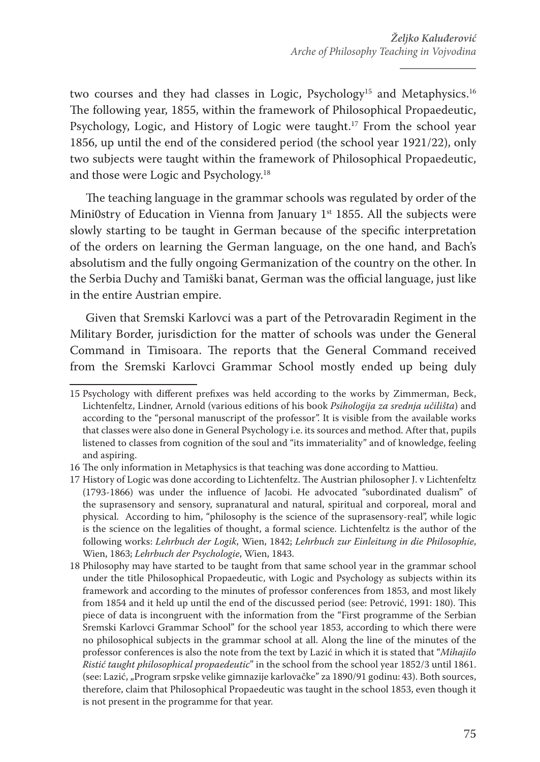two courses and they had classes in Logic, Psychology<sup>15</sup> and Metaphysics.<sup>16</sup> The following year, 1855, within the framework of Philosophical Propaedeutic, Psychology, Logic, and History of Logic were taught.<sup>17</sup> From the school year 1856, up until the end of the considered period (the school year 1921/22), only two subjects were taught within the framework of Philosophical Propaedeutic, and those were Logic and Psychology.<sup>18</sup>

The teaching language in the grammar schools was regulated by order of the Mini0stry of Education in Vienna from January  $1<sup>st</sup>$  1855. All the subjects were slowly starting to be taught in German because of the specific interpretation of the orders on learning the German language, on the one hand, and Bach's absolutism and the fully ongoing Germanization of the country on the other. In the Serbia Duchy and Tamiški banat, German was the official language, just like in the entire Austrian empire.

Given that Sremski Karlovci was a part of the Petrovaradin Regiment in the Military Border, jurisdiction for the matter of schools was under the General Command in Timisoara. The reports that the General Command received from the Sremski Karlovci Grammar School mostly ended up being duly

<sup>15</sup> Psychology with different prefixes was held according to the works by Zimmerman, Beck, Lichtenfeltz, Lindner, Arnold (various editions of his book *Psihologija za srednja učilišta*) and according to the "personal manuscript of the professor". It is visible from the available works that classes were also done in General Psychology i.e. its sources and method. After that, pupils listened to classes from cognition of the soul and "its immateriality" and of knowledge, feeling and aspiring.

<sup>16</sup> The only information in Metaphysics is that teaching was done according to Mattiөu.

<sup>17</sup> History of Logic was done according to Lichtenfeltz. The Austrian philosopher J. v Lichtenfeltz (1793-1866) was under the influence of Jacobi. He advocated "subordinated dualism" of the suprasensory and sensory, supranatural and natural, spiritual and corporeal, moral and physical. According to him, "philosophy is the science of the suprasensory-real", while logic is the science on the legalities of thought, a formal science. Lichtenfeltz is the author of the following works: *Lehrbuch der Logik*, Wien, 1842; *Lehrbuch zur Einleitung in die Philosophie*, Wien, 1863; *Lehrbuch der Psychologie*, Wien, 1843.

<sup>18</sup> Philosophy may have started to be taught from that same school year in the grammar school under the title Philosophical Propaedeutic, with Logic and Psychology as subjects within its framework and according to the minutes of professor conferences from 1853, and most likely from 1854 and it held up until the end of the discussed period (see: Petrović, 1991: 180). This piece of data is incongruent with the information from the "First programme of the Serbian Sremski Karlovci Grammar School" for the school year 1853, according to which there were no philosophical subjects in the grammar school at all. Along the line of the minutes of the professor conferences is also the note from the text by Lazić in which it is stated that "*Mihajilo Ristić taught philosophical propaedeutic*" in the school from the school year 1852/3 until 1861. (see: Lazić, "Program srpske velike gimnazije karlovačke" za 1890/91 godinu: 43). Both sources, therefore, claim that Philosophical Propaedeutic was taught in the school 1853, even though it is not present in the programme for that year.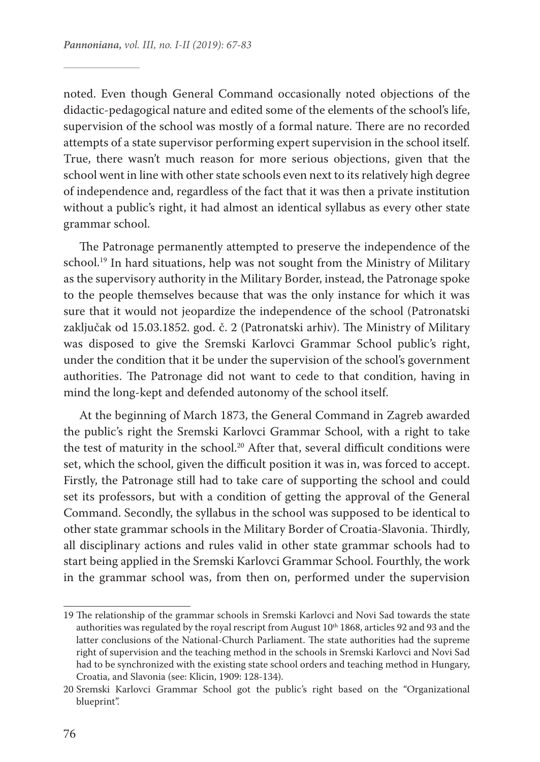noted. Even though General Command occasionally noted objections of the didactic-pedagogical nature and edited some of the elements of the school's life, supervision of the school was mostly of a formal nature. There are no recorded attempts of a state supervisor performing expert supervision in the school itself. True, there wasn't much reason for more serious objections, given that the school went in line with other state schools even next to its relatively high degree of independence and, regardless of the fact that it was then a private institution without a public's right, it had almost an identical syllabus as every other state grammar school.

The Patronage permanently attempted to preserve the independence of the school.<sup>19</sup> In hard situations, help was not sought from the Ministry of Military as the supervisory authority in the Military Border, instead, the Patronage spoke to the people themselves because that was the only instance for which it was sure that it would not jeopardize the independence of the school (Patronatski zaključak od 15.03.1852. god. č. 2 (Patronatski arhiv). The Ministry of Military was disposed to give the Sremski Karlovci Grammar School public's right, under the condition that it be under the supervision of the school's government authorities. The Patronage did not want to cede to that condition, having in mind the long-kept and defended autonomy of the school itself.

At the beginning of March 1873, the General Command in Zagreb awarded the public's right the Sremski Karlovci Grammar School, with a right to take the test of maturity in the school.<sup>20</sup> After that, several difficult conditions were set, which the school, given the difficult position it was in, was forced to accept. Firstly, the Patronage still had to take care of supporting the school and could set its professors, but with a condition of getting the approval of the General Command. Secondly, the syllabus in the school was supposed to be identical to other state grammar schools in the Military Border of Croatia-Slavonia. Thirdly, all disciplinary actions and rules valid in other state grammar schools had to start being applied in the Sremski Karlovci Grammar School. Fourthly, the work in the grammar school was, from then on, performed under the supervision

<sup>19</sup> The relationship of the grammar schools in Sremski Karlovci and Novi Sad towards the state authorities was regulated by the royal rescript from August 10<sup>th</sup> 1868, articles 92 and 93 and the latter conclusions of the National-Church Parliament. The state authorities had the supreme right of supervision and the teaching method in the schools in Sremski Karlovci and Novi Sad had to be synchronized with the existing state school orders and teaching method in Hungary, Croatia, and Slavonia (see: Klicin, 1909: 128-134).

<sup>20</sup> Sremski Karlovci Grammar School got the public's right based on the "Organizational blueprint".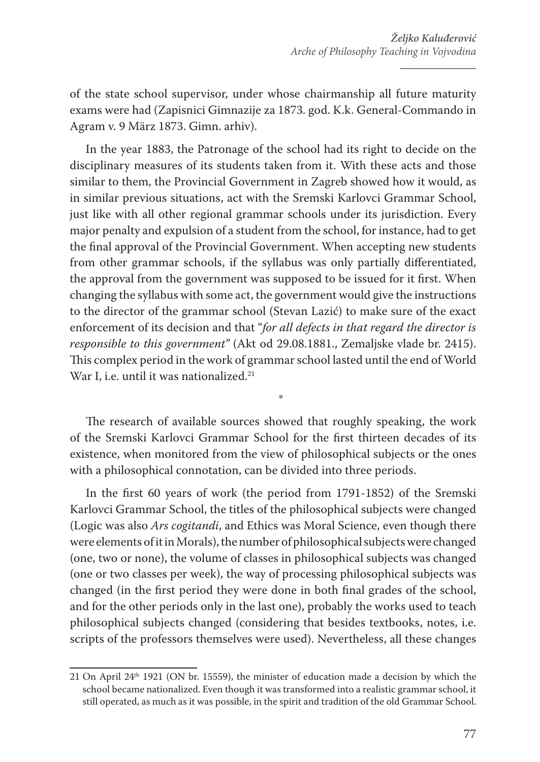of the state school supervisor, under whose chairmanship all future maturity exams were had (Zapisnici Gimnazije za 1873. god. K.k. General-Commando in Agram v. 9 März 1873. Gimn. arhiv).

In the year 1883, the Patronage of the school had its right to decide on the disciplinary measures of its students taken from it. With these acts and those similar to them, the Provincial Government in Zagreb showed how it would, as in similar previous situations, act with the Sremski Karlovci Grammar School, just like with all other regional grammar schools under its jurisdiction. Every major penalty and expulsion of a student from the school, for instance, had to get the final approval of the Provincial Government. When accepting new students from other grammar schools, if the syllabus was only partially differentiated, the approval from the government was supposed to be issued for it first. When changing the syllabus with some act, the government would give the instructions to the director of the grammar school (Stevan Lazić) to make sure of the exact enforcement of its decision and that "*for all defects in that regard the director is responsible to this government"* (Akt od 29.08.1881., Zemaljske vlade br. 2415). This complex period in the work of grammar school lasted until the end of World War I, i.e. until it was nationalized.<sup>21</sup>

The research of available sources showed that roughly speaking, the work of the Sremski Karlovci Grammar School for the first thirteen decades of its existence, when monitored from the view of philosophical subjects or the ones with a philosophical connotation, can be divided into three periods.

\*

In the first 60 years of work (the period from 1791-1852) of the Sremski Karlovci Grammar School, the titles of the philosophical subjects were changed (Logic was also *Ars cogitandi*, and Ethics was Moral Science, even though there were elements of it in Morals), the number of philosophical subjects were changed (one, two or none), the volume of classes in philosophical subjects was changed (one or two classes per week), the way of processing philosophical subjects was changed (in the first period they were done in both final grades of the school, and for the other periods only in the last one), probably the works used to teach philosophical subjects changed (considering that besides textbooks, notes, i.e. scripts of the professors themselves were used). Nevertheless, all these changes

<sup>21</sup> On April 24<sup>th</sup> 1921 (ON br. 15559), the minister of education made a decision by which the school became nationalized. Even though it was transformed into a realistic grammar school, it still operated, as much as it was possible, in the spirit and tradition of the old Grammar School.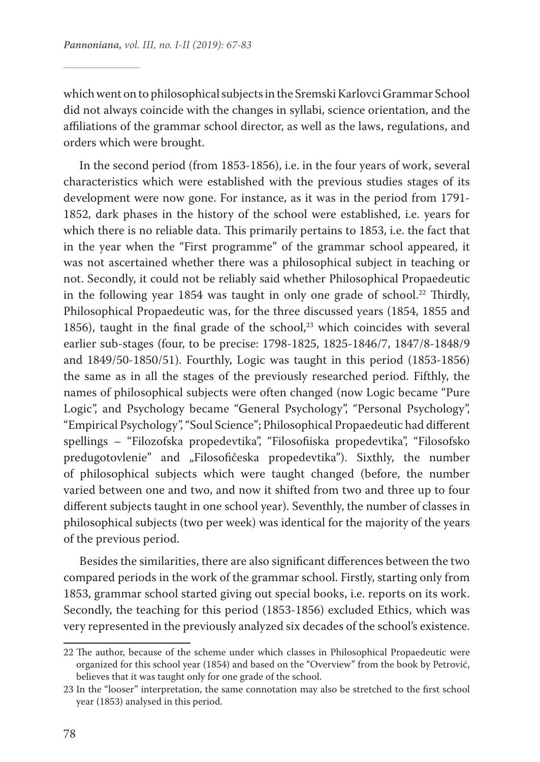which went on to philosophical subjects in the Sremski Karlovci Grammar School did not always coincide with the changes in syllabi, science orientation, and the affiliations of the grammar school director, as well as the laws, regulations, and orders which were brought.

In the second period (from 1853-1856), i.e. in the four years of work, several characteristics which were established with the previous studies stages of its development were now gone. For instance, as it was in the period from 1791- 1852, dark phases in the history of the school were established, i.e. years for which there is no reliable data. This primarily pertains to 1853, i.e. the fact that in the year when the "First programme" of the grammar school appeared, it was not ascertained whether there was a philosophical subject in teaching or not. Secondly, it could not be reliably said whether Philosophical Propaedeutic in the following year 1854 was taught in only one grade of school.<sup>22</sup> Thirdly, Philosophical Propaedeutic was, for the three discussed years (1854, 1855 and 1856), taught in the final grade of the school, $23$  which coincides with several earlier sub-stages (four, to be precise: 1798-1825, 1825-1846/7, 1847/8-1848/9 and 1849/50-1850/51). Fourthly, Logic was taught in this period (1853-1856) the same as in all the stages of the previously researched period. Fifthly, the names of philosophical subjects were often changed (now Logic became "Pure Logic", and Psychology became "General Psychology", "Personal Psychology", "Empirical Psychology", "Soul Science"; Philosophical Propaedeutic had different spellings – "Filozofska propedevtika", "Filosofiiska propedevtika", "Filosofsko predugotovlenie" and "Filosofičeska propedevtika"). Sixthly, the number of philosophical subjects which were taught changed (before, the number varied between one and two, and now it shifted from two and three up to four different subjects taught in one school year). Seventhly, the number of classes in philosophical subjects (two per week) was identical for the majority of the years of the previous period.

Besides the similarities, there are also significant differences between the two compared periods in the work of the grammar school. Firstly, starting only from 1853, grammar school started giving out special books, i.e. reports on its work. Secondly, the teaching for this period (1853-1856) excluded Ethics, which was very represented in the previously analyzed six decades of the school's existence.

<sup>22</sup> The author, because of the scheme under which classes in Philosophical Propaedeutic were organized for this school year (1854) and based on the "Overview" from the book by Petrović, believes that it was taught only for one grade of the school.

<sup>23</sup> In the "looser" interpretation, the same connotation may also be stretched to the first school year (1853) analysed in this period.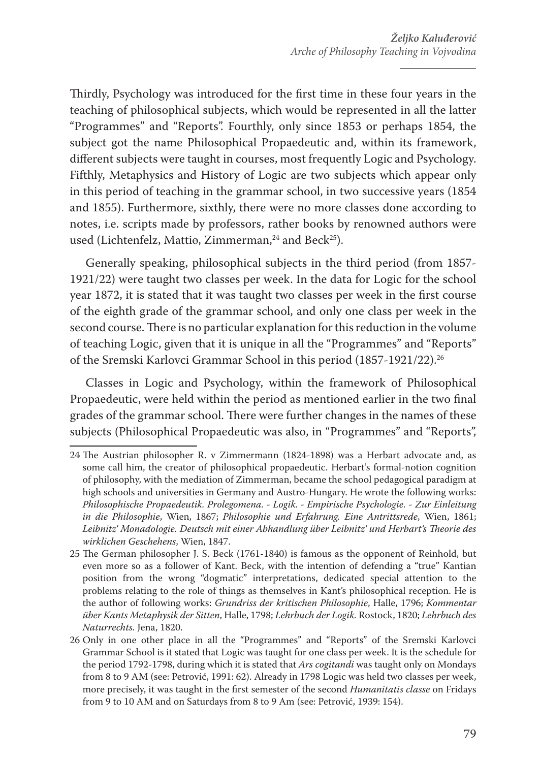Thirdly, Psychology was introduced for the first time in these four years in the teaching of philosophical subjects, which would be represented in all the latter "Programmes" and "Reports". Fourthly, only since 1853 or perhaps 1854, the subject got the name Philosophical Propaedeutic and, within its framework, different subjects were taught in courses, most frequently Logic and Psychology. Fifthly, Metaphysics and History of Logic are two subjects which appear only in this period of teaching in the grammar school, in two successive years (1854 and 1855). Furthermore, sixthly, there were no more classes done according to notes, i.e. scripts made by professors, rather books by renowned authors were used (Lichtenfelz, Mattie, Zimmerman,<sup>24</sup> and Beck<sup>25</sup>).

Generally speaking, philosophical subjects in the third period (from 1857- 1921/22) were taught two classes per week. In the data for Logic for the school year 1872, it is stated that it was taught two classes per week in the first course of the eighth grade of the grammar school, and only one class per week in the second course. There is no particular explanation for this reduction in the volume of teaching Logic, given that it is unique in all the "Programmes" and "Reports" of the Sremski Karlovci Grammar School in this period (1857-1921/22).26

Classes in Logic and Psychology, within the framework of Philosophical Propaedeutic, were held within the period as mentioned earlier in the two final grades of the grammar school. There were further changes in the names of these subjects (Philosophical Propaedeutic was also, in "Programmes" and "Reports",

<sup>24</sup> The Austrian philosopher R. v Zimmermann (1824-1898) was a Herbart advocate and, as some call him, the creator of philosophical propaedeutic. Herbart's formal-notion cognition of philosophy, with the mediation of Zimmerman, became the school pedagogical paradigm at high schools and universities in Germany and Austro-Hungary. He wrote the following works: *Philosophische Propaedeutik. Prolegomena. - Logik. - Empirische Psychologie. - Zur Einleitung in die Philosophie*, Wien, 1867; *Philosophie und Erfahrung. Eine Antrittsrede*, Wien, 1861; *Leibnitz' Monadologie. Deutsch mit einer Abhandlung über Leibnitz' und Herbart's Theorie des wirklichen Geschehens*, Wien, 1847.

<sup>25</sup> The German philosopher J. S. Beck (1761-1840) is famous as the opponent of Reinhold, but even more so as a follower of Kant. Beck, with the intention of defending a "true" Kantian position from the wrong "dogmatic" interpretations, dedicated special attention to the problems relating to the role of things as themselves in Kant's philosophical reception. He is the author of following works: *Grundriss der kritischen Philosophie*, Halle, 1796; *Kommentar über Kants Metaphysik der Sitten*, Halle, 1798; *Lehrbuch der Logik.* Rostock, 1820; *Lehrbuch des Naturrechts.* Jena, 1820.

<sup>26</sup> Only in one other place in all the "Programmes" and "Reports" of the Sremski Karlovci Grammar School is it stated that Logic was taught for one class per week. It is the schedule for the period 1792-1798, during which it is stated that *Ars cogitandi* was taught only on Mondays from 8 to 9 AM (see: Petrović, 1991: 62). Already in 1798 Logic was held two classes per week, more precisely, it was taught in the first semester of the second *Humanitatis classe* on Fridays from 9 to 10 AM and on Saturdays from 8 to 9 Am (see: Petrović, 1939: 154).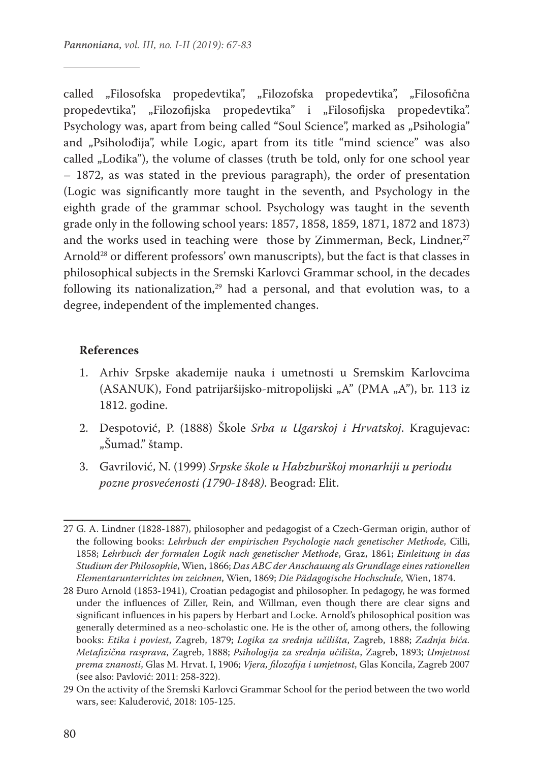called "Filosofska propedevtika", "Filozofska propedevtika", "Filosofična propedevtika", "Filozofijska propedevtika" i "Filosofijska propedevtika". Psychology was, apart from being called "Soul Science", marked as "Psihologia" and "Psiholođija", while Logic, apart from its title "mind science" was also called "Lođika"), the volume of classes (truth be told, only for one school year – 1872, as was stated in the previous paragraph), the order of presentation (Logic was significantly more taught in the seventh, and Psychology in the eighth grade of the grammar school. Psychology was taught in the seventh grade only in the following school years: 1857, 1858, 1859, 1871, 1872 and 1873) and the works used in teaching were those by Zimmerman, Beck, Lindner, $27$ Arnold28 or different professors' own manuscripts), but the fact is that classes in philosophical subjects in the Sremski Karlovci Grammar school, in the decades following its nationalization, $29$  had a personal, and that evolution was, to a degree, independent of the implemented changes.

#### **References**

- 1. Arhiv Srpske akademije nauka i umetnosti u Sremskim Karlovcima (ASANUK), Fond patrijaršijsko-mitropolijski "A" (PMA "A"), br. 113 iz 1812. godine.
- 2. Despotović, P. (1888) Škole *Srba u Ugarskoj i Hrvatskoj*. Kragujevac: "Šumad." štamp.
- 3. Gavrilović, N. (1999) *Srpske škole u Habzburškoj monarhiji u periodu pozne prosvećenosti (1790-1848)*. Beograd: Elit.

<sup>27</sup> G. A. Lindner (1828-1887), philosopher and pedagogist of a Czech-German origin, author of the following books: *Lehrbuch der empirischen Psychologie nach genetischer Methode*, Cilli, 1858; *Lehrbuch der formalen Logik nach genetischer Methode*, Graz, 1861; *Einleitung in das Studium der Philosophie*, Wien, 1866; *Das ABC der Anschauung als Grundlage eines rationellen Elementarunterrichtes im zeichnen*, Wien, 1869; *Die Pädagogische Hochschule*, Wien, 1874.

<sup>28</sup> Đuro Arnold (1853-1941), Croatian pedagogist and philosopher. In pedagogy, he was formed under the influences of Ziller, Rein, and Willman, even though there are clear signs and significant influences in his papers by Herbart and Locke. Arnold's philosophical position was generally determined as a neo-scholastic one. He is the other of, among others, the following books: *Etika i poviest*, Zagreb, 1879; *Logika za srednja učilišta*, Zagreb, 1888; *Zadnja bića. Metafizična rasprava*, Zagreb, 1888; *Psihologija za srednja učilišta*, Zagreb, 1893; *Umjetnost prema znanosti*, Glas M. Hrvat. I, 1906; *Vjera, filozofija i umjetnost*, Glas Koncila, Zagreb 2007 (see also: Pavlović: 2011: 258-322).

<sup>29</sup> On the activity of the Sremski Karlovci Grammar School for the period between the two world wars, see: Kaluđerović, 2018: 105-125.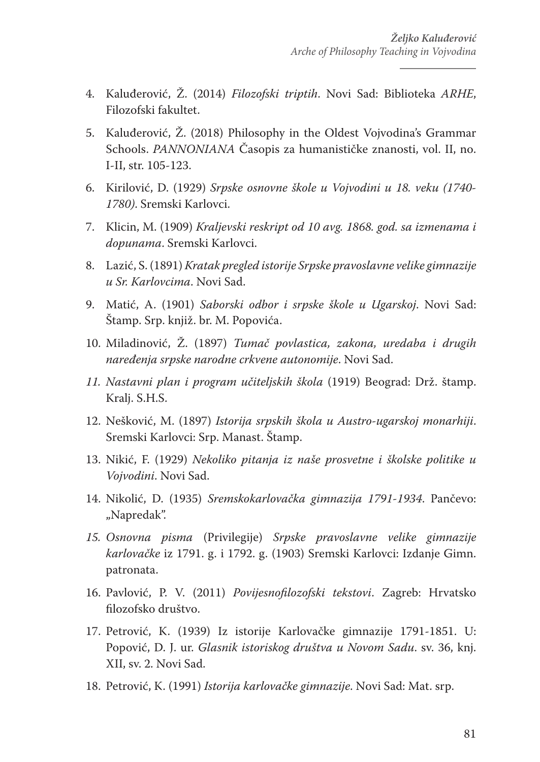- 4. Kaluđerović, Ž. (2014) *Filozofski triptih*. Novi Sad: Biblioteka *ARHE*, Filozofski fakultet.
- 5. Kaluđerović, Ž. (2018) Philosophy in the Oldest Vojvodina's Grammar Schools. *PANNONIANA* Časopis za humanističke znanosti, vol. II, no. I-II, str. 105-123.
- 6. Kirilović, D. (1929) *Srpske osnovne škole u Vojvodini u 18. veku (1740- 1780)*. Sremski Karlovci.
- 7. Klicin, M. (1909) *Kraljevski reskript od 10 avg. 1868. god. sa izmenama i dopunama*. Sremski Karlovci.
- 8. Lazić, S. (1891) *Kratak pregled istorije Srpske pravoslavne velike gimnazije u Sr. Karlovcima*. Novi Sad.
- 9. Matić, A. (1901) *Saborski odbor i srpske škole u Ugarskoj*. Novi Sad: Štamp. Srp. knjiž. br. M. Popovića.
- 10. Miladinović, Ž. (1897) *Tumač povlastica, zakona, uredaba i drugih naređenja srpske narodne crkvene autonomije*. Novi Sad.
- *11. Nastavni plan i program učiteljskih škola* (1919) Beograd: Drž. štamp. Kralj. S.H.S.
- 12. Nešković, M. (1897) *Istorija srpskih škola u Austro-ugarskoj monarhiji*. Sremski Karlovci: Srp. Manast. Štamp.
- 13. Nikić, F. (1929) *Nekoliko pitanja iz naše prosvetne i školske politike u Vojvodini*. Novi Sad.
- 14. Nikolić, D. (1935) *Sremskokarlovačka gimnazija 1791-1934*. Pančevo: "Napredak".
- *15. Osnovna pisma* (Privilegije) *Srpske pravoslavne velike gimnazije karlovačke* iz 1791. g. i 1792. g. (1903) Sremski Karlovci: Izdanje Gimn. patronata.
- 16. Pavlović, P. V. (2011) *Povijesnofilozofski tekstovi*. Zagreb: Hrvatsko filozofsko društvo.
- 17. Petrović, K. (1939) Iz istorije Karlovačke gimnazije 1791-1851. U: Popović, D. J. ur. *Glasnik istoriskog društva u Novom Sadu*. sv. 36, knj. XII, sv. 2. Novi Sad.
- 18. Petrović, K. (1991) *Istorija karlovačke gimnazije*. Novi Sad: Mat. srp.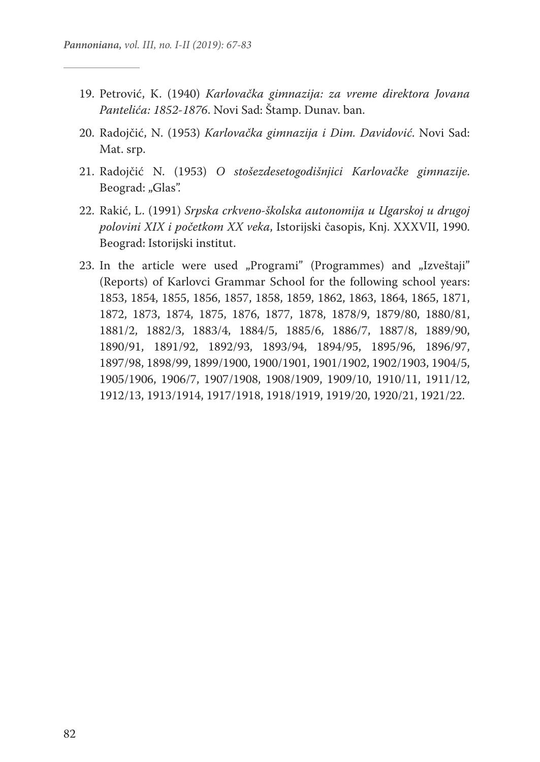- 19. Petrović, K. (1940) *Karlovačka gimnazija: za vreme direktora Jovana Pantelića: 1852-1876*. Novi Sad: Štamp. Dunav. ban.
- 20. Radojčić, N. (1953) *Karlovačka gimnazija i Dim. Davidović*. Novi Sad: Mat. srp.
- 21. Radojčić N. (1953) *O stošezdesetogodišnjici Karlovačke gimnazije*. Beograd: "Glas".
- 22. Rakić, L. (1991) *Srpska crkveno-školska autonomija u Ugarskoj u drugoj polovini XIX i početkom XX veka*, Istorijski časopis, Knj. XXXVII, 1990. Beograd: Istorijski institut.
- 23. In the article were used "Programi" (Programmes) and "Izveštaji" (Reports) of Karlovci Grammar School for the following school years: 1853, 1854, 1855, 1856, 1857, 1858, 1859, 1862, 1863, 1864, 1865, 1871, 1872, 1873, 1874, 1875, 1876, 1877, 1878, 1878/9, 1879/80, 1880/81, 1881/2, 1882/3, 1883/4, 1884/5, 1885/6, 1886/7, 1887/8, 1889/90, 1890/91, 1891/92, 1892/93, 1893/94, 1894/95, 1895/96, 1896/97, 1897/98, 1898/99, 1899/1900, 1900/1901, 1901/1902, 1902/1903, 1904/5, 1905/1906, 1906/7, 1907/1908, 1908/1909, 1909/10, 1910/11, 1911/12, 1912/13, 1913/1914, 1917/1918, 1918/1919, 1919/20, 1920/21, 1921/22.